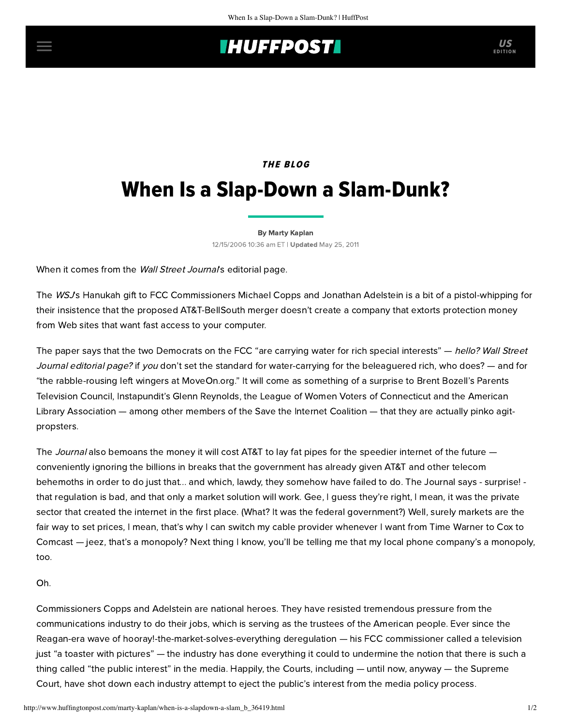## **THUFFPOST**

### THE BLOG

# When Is a Slap-Down a Slam-Dunk?

[By Marty Kaplan](http://www.huffingtonpost.com/author/marty-kaplan) 12/15/2006 10:36 am ET | Updated May 25, 2011

When it comes from the Wall Street Journal's editorial page.

The WSJ's Hanukah gift to FCC Commissioners Michael Copps and Jonathan Adelstein is a bit of a pistol-whipping for their insistence that the proposed AT&T-BellSouth merger doesn't create a company that extorts protection money from Web sites that want fast access to your computer.

The paper says that the two Democrats on the FCC "are carrying water for rich special interests" — hello? Wall Street Journal editorial page? if you don't set the standard for water-carrying for the beleaguered rich, who does? — and for "the rabble-rousing left wingers at MoveOn.org." It will come as something of a surprise to Brent Bozell's Parents Television Council, Instapundit's Glenn Reynolds, the League of Women Voters of Connecticut and the American Library Association — among other members of the [Save the Internet Coalition](http://www.savetheinternet.com/=members) — that they are actually pinko agitpropsters.

The Journal also bemoans the money it will cost AT&T to lay fat pipes for the speedier internet of the future  $$ conveniently ignoring the billions in breaks that the government has already given AT&T and other telecom behemoths in order to do just that... and which, lawdy, they somehow have failed to do. The Journal says - surprise! that regulation is bad, and that only a market solution will work. Gee, I guess they're right, I mean, it was the private sector that created the internet in the first place. (What? It was the federal government?) Well, surely markets are the fair way to set prices, I mean, that's why I can switch my cable provider whenever I want from Time Warner to Cox to Comcast — jeez, that's a monopoly? Next thing I know, you'll be telling me that my local phone company's a monopoly, too.

#### Oh.

Commissioners Copps and Adelstein are national heroes. They have resisted tremendous pressure from the communications industry to do their jobs, which is serving as the trustees of the American people. Ever since the Reagan-era wave of hooray!-the-market-solves-everything deregulation — his FCC commissioner called a television just "a toaster with pictures" — the industry has done everything it could to undermine the notion that there is such a thing called "the public interest" in the media. Happily, the Courts, including — until now, anyway — the Supreme Court, have shot down each industry attempt to eject the public's interest from the media policy process.